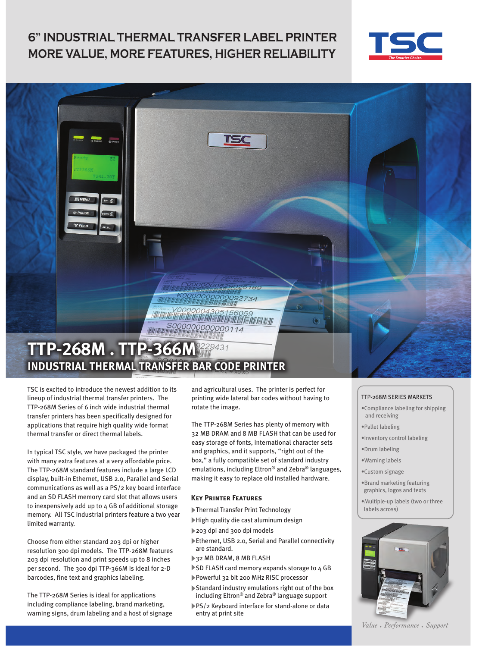## **6" INDUSTRIAL THERMAL TRANSFER LABEL PRINTER MORE VALUE, MORE FEATURES, HIGHER RELIABILITY**





TSC is excited to introduce the newest addition to its lineup of industrial thermal transfer printers. The TTP-268M Series of 6 inch wide industrial thermal transfer printers has been specifically designed for applications that require high quality wide format thermal transfer or direct thermal labels.

In typical TSC style, we have packaged the printer with many extra features at a very affordable price. The TTP-268M standard features include a large LCD display, built-in Ethernet, USB 2.0, Parallel and Serial communications as well as a PS/2 key board interface and an SD FLASH memory card slot that allows users to inexpensively add up to 4 GB of additional storage memory. All TSC industrial printers feature a two year limited warranty.

Choose from either standard 203 dpi or higher resolution 300 dpi models. The TTP-268M features 203 dpi resolution and print speeds up to 8 inches per second. The 300 dpi TTP-366M is ideal for 2-D barcodes, fine text and graphics labeling.

The TTP-268M Series is ideal for applications including compliance labeling, brand marketing, warning signs, drum labeling and a host of signage and agricultural uses. The printer is perfect for printing wide lateral bar codes without having to rotate the image.

The TTP-268M Series has plenty of memory with 32 MB DRAM and 8 MB FLASH that can be used for easy storage of fonts, international character sets and graphics, and it supports, "right out of the box," a fully compatible set of standard industry emulations, including Eltron® and Zebra® languages, making it easy to replace old installed hardware.

#### **Key Printer Features**

- Thermal Transfer Print Technology
- High quality die cast aluminum design
- 203 dpi and 300 dpi models
- Ethernet, USB 2.0, Serial and Parallel connectivity are standard.
- 32 MB DRAM, 8 MB FLASH
- SD FLASH card memory expands storage to 4 GB Powerful 32 bit 200 MHz RISC processor
- Standard industry emulations right out of the box
- including Eltron® and Zebra® language support
- ▶PS/2 Keyboard interface for stand-alone or data entry at print site

#### TTP-268M SERIES MARKETS

- •Compliance labeling for shipping and receiving
- •Pallet labeling
- •Inventory control labeling
- •Drum labeling
- •Warning labels
- •Custom signage
- •Brand marketing featuring graphics, logos and texts
- •Multiple-up labels (two or three labels across)



Value • Performance • Support